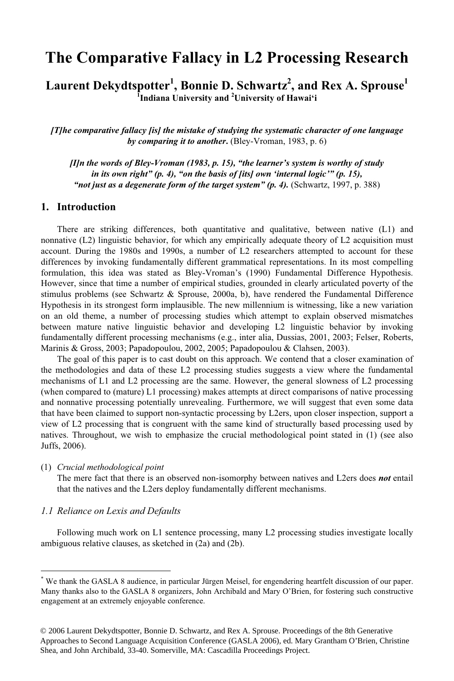# **The Comparative Fallacy in L2 Processing Research**

 $\bf{L}$ aurent  $\bf{D}$ ekydtspotter $^1$ , Bonnie D. Schwartz $^2$ , and Rex A. Sprouse $^1$ **1 Indiana University and <sup>2</sup> University of Hawai'i**

*[T]he comparative fallacy [is] the mistake of studying the systematic character of one language by comparing it to another***.** (Bley-Vroman, 1983, p. 6)

*[I]n the words of Bley-Vroman (1983, p. 15), "the learner's system is worthy of study in its own right" (p. 4), "on the basis of [its] own 'internal logic'" (p. 15), "not just as a degenerate form of the target system" (p. 4).* (Schwartz, 1997, p. 388)

#### **1. Introduction**

There are striking differences, both quantitative and qualitative, between native (L1) and nonnative (L2) linguistic behavior, for which any empirically adequate theory of L2 acquisition must account. During the 1980s and 1990s, a number of L2 researchers attempted to account for these differences by invoking fundamentally different grammatical representations. In its most compelling formulation, this idea was stated as Bley-Vroman's (1990) Fundamental Difference Hypothesis. However, since that time a number of empirical studies, grounded in clearly articulated poverty of the stimulus problems (see Schwartz & Sprouse, 2000a, b), have rendered the Fundamental Difference Hypothesis in its strongest form implausible. The new millennium is witnessing, like a new variation on an old theme, a number of processing studies which attempt to explain observed mismatches between mature native linguistic behavior and developing L2 linguistic behavior by invoking fundamentally different processing mechanisms (e.g., inter alia, Dussias, 2001, 2003; Felser, Roberts, Marinis & Gross, 2003; Papadopoulou, 2002, 2005; Papadopoulou & Clahsen, 2003).

The goal of this paper is to cast doubt on this approach. We contend that a closer examination of the methodologies and data of these L2 processing studies suggests a view where the fundamental mechanisms of L1 and L2 processing are the same. However, the general slowness of L2 processing (when compared to (mature) L1 processing) makes attempts at direct comparisons of native processing and nonnative processing potentially unrevealing. Furthermore, we will suggest that even some data that have been claimed to support non-syntactic processing by L2ers, upon closer inspection, support a view of L2 processing that is congruent with the same kind of structurally based processing used by natives. Throughout, we wish to emphasize the crucial methodological point stated in (1) (see also Juffs, 2006).

#### (1) *Crucial methodological point*

The mere fact that there is an observed non-isomorphy between natives and L2ers does *not* entail that the natives and the L2ers deploy fundamentally different mechanisms.

#### *1.1 Reliance on Lexis and Defaults*

Following much work on L1 sentence processing, many L2 processing studies investigate locally ambiguous relative clauses, as sketched in (2a) and (2b).

<sup>\*</sup> We thank the GASLA 8 audience, in particular Jürgen Meisel, for engendering heartfelt discussion of our paper. Many thanks also to the GASLA 8 organizers, John Archibald and Mary O'Brien, for fostering such constructive engagement at an extremely enjoyable conference.

<sup>© 2006</sup> Laurent Dekydtspotter, Bonnie D. Schwartz, and Rex A. Sprouse. Proceedings of the 8th Generative Approaches to Second Language Acquisition Conference (GASLA 2006), ed. Mary Grantham O'Brien, Christine Shea, and John Archibald, 33-40. Somerville, MA: Cascadilla Proceedings Project.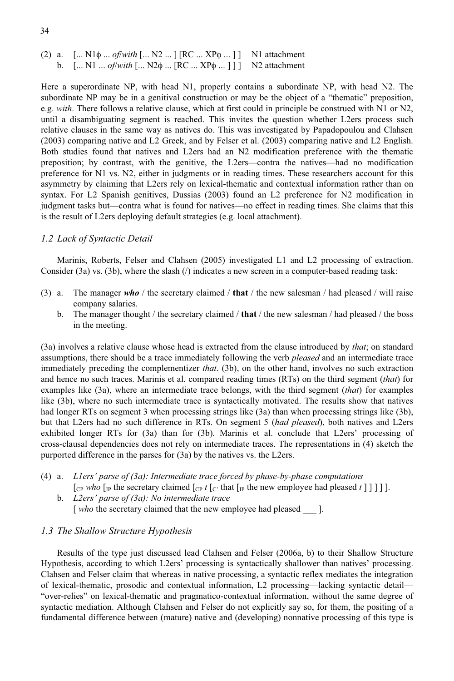(2) a. [... N1φ ... *of/with* [... N2 ... ] [RC ... XPφ ... ] ] N1 attachment b. [... N1 ... *of/with* [... N2φ ... [RC ... XPφ N2 attachment

Here a superordinate NP, with head N1, properly contains a subordinate NP, with head N2. The subordinate NP may be in a genitival construction or may be the object of a "thematic" preposition, e.g. *with*. There follows a relative clause, which at first could in principle be construed with N1 or N2, until a disambiguating segment is reached. This invites the question whether L2ers process such relative clauses in the same way as natives do. This was investigated by Papadopoulou and Clahsen (2003) comparing native and L2 Greek, and by Felser et al. (2003) comparing native and L2 English. Both studies found that natives and L2ers had an N2 modification preference with the thematic preposition; by contrast, with the genitive, the L2ers––contra the natives––had no modification preference for N1 vs. N2, either in judgments or in reading times. These researchers account for this asymmetry by claiming that L2ers rely on lexical-thematic and contextual information rather than on syntax. For L2 Spanish genitives, Dussias (2003) found an L2 preference for N2 modification in judgment tasks but––contra what is found for natives––no effect in reading times. She claims that this is the result of L2ers deploying default strategies (e.g. local attachment).

#### *1.2 Lack of Syntactic Detail*

Marinis, Roberts, Felser and Clahsen (2005) investigated L1 and L2 processing of extraction. Consider (3a) vs. (3b), where the slash (/) indicates a new screen in a computer-based reading task:

- (3) a. The manager *who* / the secretary claimed / **that** / the new salesman / had pleased / will raise company salaries.
	- b. The manager thought / the secretary claimed / **that** / the new salesman / had pleased / the boss in the meeting.

(3a) involves a relative clause whose head is extracted from the clause introduced by *that*; on standard assumptions, there should be a trace immediately following the verb *pleased* and an intermediate trace immediately preceding the complementizer *that*. (3b), on the other hand, involves no such extraction and hence no such traces. Marinis et al. compared reading times (RTs) on the third segment (*that*) for examples like (3a), where an intermediate trace belongs, with the third segment (*that*) for examples like (3b), where no such intermediate trace is syntactically motivated. The results show that natives had longer RTs on segment 3 when processing strings like (3a) than when processing strings like (3b), but that L2ers had no such difference in RTs. On segment 5 (*had pleased*), both natives and L2ers exhibited longer RTs for (3a) than for (3b). Marinis et al. conclude that L2ers' processing of cross-clausal dependencies does not rely on intermediate traces. The representations in (4) sketch the purported difference in the parses for (3a) by the natives vs. the L2ers.

- (4) a. *L1ers' parse of (3a): Intermediate trace forced by phase-by-phase computations*  $[{\rm Cr} \text{ who } {\rm [IP} \text{ the secretary claimed } {\rm [Cr} \text{ that } {\rm [IP} \text{ the new employee had pleased } t \text{ ] } ] ] ]$ .
	- b. *L2ers' parse of (3a): No intermediate trace* [ *who* the secretary claimed that the new employee had pleased \_\_\_ ].

#### *1.3 The Shallow Structure Hypothesis*

Results of the type just discussed lead Clahsen and Felser (2006a, b) to their Shallow Structure Hypothesis, according to which L2ers' processing is syntactically shallower than natives' processing. Clahsen and Felser claim that whereas in native processing, a syntactic reflex mediates the integration of lexical-thematic, prosodic and contextual information, L2 processing––lacking syntactic detail–– "over-relies" on lexical-thematic and pragmatico-contextual information, without the same degree of syntactic mediation. Although Clahsen and Felser do not explicitly say so, for them, the positing of a fundamental difference between (mature) native and (developing) nonnative processing of this type is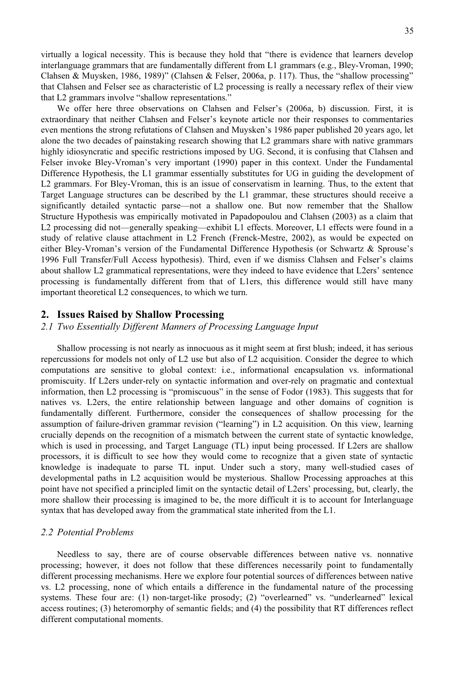virtually a logical necessity. This is because they hold that "there is evidence that learners develop interlanguage grammars that are fundamentally different from L1 grammars (e.g., Bley-Vroman, 1990; Clahsen & Muysken, 1986, 1989)" (Clahsen & Felser, 2006a, p. 117). Thus, the "shallow processing" that Clahsen and Felser see as characteristic of L2 processing is really a necessary reflex of their view that L2 grammars involve "shallow representations."

We offer here three observations on Clahsen and Felser's (2006a, b) discussion. First, it is extraordinary that neither Clahsen and Felser's keynote article nor their responses to commentaries even mentions the strong refutations of Clahsen and Muysken's 1986 paper published 20 years ago, let alone the two decades of painstaking research showing that L2 grammars share with native grammars highly idiosyncratic and specific restrictions imposed by UG. Second, it is confusing that Clahsen and Felser invoke Bley-Vroman's very important (1990) paper in this context. Under the Fundamental Difference Hypothesis, the L1 grammar essentially substitutes for UG in guiding the development of L2 grammars. For Bley-Vroman, this is an issue of conservatism in learning. Thus, to the extent that Target Language structures can be described by the L1 grammar, these structures should receive a significantly detailed syntactic parse––not a shallow one. But now remember that the Shallow Structure Hypothesis was empirically motivated in Papadopoulou and Clahsen (2003) as a claim that L2 processing did not—generally speaking—exhibit L1 effects. Moreover, L1 effects were found in a study of relative clause attachment in L2 French (Frenck-Mestre, 2002), as would be expected on either Bley-Vroman's version of the Fundamental Difference Hypothesis (or Schwartz & Sprouse's 1996 Full Transfer/Full Access hypothesis). Third, even if we dismiss Clahsen and Felser's claims about shallow L2 grammatical representations, were they indeed to have evidence that L2ers' sentence processing is fundamentally different from that of L1ers, this difference would still have many important theoretical L2 consequences, to which we turn.

#### **2. Issues Raised by Shallow Processing**

*2.1 Two Essentially Different Manners of Processing Language Input*

Shallow processing is not nearly as innocuous as it might seem at first blush; indeed, it has serious repercussions for models not only of L2 use but also of L2 acquisition. Consider the degree to which computations are sensitive to global context: i.e., informational encapsulation vs. informational promiscuity. If L2ers under-rely on syntactic information and over-rely on pragmatic and contextual information, then L2 processing is "promiscuous" in the sense of Fodor (1983). This suggests that for natives vs. L2ers, the entire relationship between language and other domains of cognition is fundamentally different. Furthermore, consider the consequences of shallow processing for the assumption of failure-driven grammar revision ("learning") in L2 acquisition. On this view, learning crucially depends on the recognition of a mismatch between the current state of syntactic knowledge, which is used in processing, and Target Language (TL) input being processed. If L2ers are shallow processors, it is difficult to see how they would come to recognize that a given state of syntactic knowledge is inadequate to parse TL input. Under such a story, many well-studied cases of developmental paths in L2 acquisition would be mysterious. Shallow Processing approaches at this point have not specified a principled limit on the syntactic detail of L2ers' processing, but, clearly, the more shallow their processing is imagined to be, the more difficult it is to account for Interlanguage syntax that has developed away from the grammatical state inherited from the L1.

#### *2.2 Potential Problems*

Needless to say, there are of course observable differences between native vs. nonnative processing; however, it does not follow that these differences necessarily point to fundamentally different processing mechanisms. Here we explore four potential sources of differences between native vs. L2 processing, none of which entails a difference in the fundamental nature of the processing systems. These four are: (1) non-target-like prosody; (2) "overlearned" vs. "underlearned" lexical access routines; (3) heteromorphy of semantic fields; and (4) the possibility that RT differences reflect different computational moments.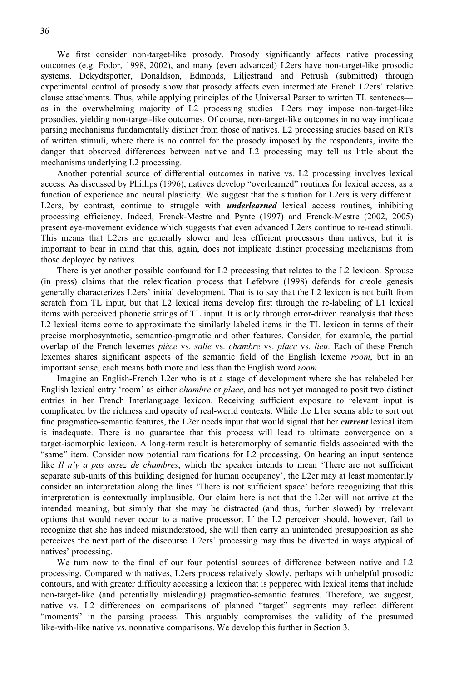We first consider non-target-like prosody. Prosody significantly affects native processing outcomes (e.g. Fodor, 1998, 2002), and many (even advanced) L2ers have non-target-like prosodic systems. Dekydtspotter, Donaldson, Edmonds, Liljestrand and Petrush (submitted) through experimental control of prosody show that prosody affects even intermediate French L2ers' relative clause attachments. Thus, while applying principles of the Universal Parser to written TL sentences–– as in the overwhelming majority of L2 processing studies––L2ers may impose non-target-like prosodies, yielding non-target-like outcomes. Of course, non-target-like outcomes in no way implicate parsing mechanisms fundamentally distinct from those of natives. L2 processing studies based on RTs of written stimuli, where there is no control for the prosody imposed by the respondents, invite the danger that observed differences between native and L2 processing may tell us little about the mechanisms underlying L2 processing.

Another potential source of differential outcomes in native vs. L2 processing involves lexical access. As discussed by Phillips (1996), natives develop "overlearned" routines for lexical access, as a function of experience and neural plasticity. We suggest that the situation for L2ers is very different. L2ers, by contrast, continue to struggle with *underlearned* lexical access routines, inhibiting processing efficiency. Indeed, Frenck-Mestre and Pynte (1997) and Frenck-Mestre (2002, 2005) present eye-movement evidence which suggests that even advanced L2ers continue to re-read stimuli. This means that L2ers are generally slower and less efficient processors than natives, but it is important to bear in mind that this, again, does not implicate distinct processing mechanisms from those deployed by natives.

There is yet another possible confound for L2 processing that relates to the L2 lexicon. Sprouse (in press) claims that the relexification process that Lefebvre (1998) defends for creole genesis generally characterizes L2ers' initial development. That is to say that the L2 lexicon is not built from scratch from TL input, but that L2 lexical items develop first through the re-labeling of L1 lexical items with perceived phonetic strings of TL input. It is only through error-driven reanalysis that these L2 lexical items come to approximate the similarly labeled items in the TL lexicon in terms of their precise morphosyntactic, semantico-pragmatic and other features. Consider, for example, the partial overlap of the French lexemes *pièce* vs. *salle* vs. *chambre* vs. *place* vs. *lieu*. Each of these French lexemes shares significant aspects of the semantic field of the English lexeme *room*, but in an important sense, each means both more and less than the English word *room*.

Imagine an English-French L2er who is at a stage of development where she has relabeled her English lexical entry 'room' as either *chambre* or *place*, and has not yet managed to posit two distinct entries in her French Interlanguage lexicon. Receiving sufficient exposure to relevant input is complicated by the richness and opacity of real-world contexts. While the L1er seems able to sort out fine pragmatico-semantic features, the L2er needs input that would signal that her *current* lexical item is inadequate. There is no guarantee that this process will lead to ultimate convergence on a target-isomorphic lexicon. A long-term result is heteromorphy of semantic fields associated with the "same" item. Consider now potential ramifications for L2 processing. On hearing an input sentence like *Il* n'y a pas assez de chambres, which the speaker intends to mean 'There are not sufficient separate sub-units of this building designed for human occupancy', the L2er may at least momentarily consider an interpretation along the lines 'There is not sufficient space' before recognizing that this interpretation is contextually implausible. Our claim here is not that the L2er will not arrive at the intended meaning, but simply that she may be distracted (and thus, further slowed) by irrelevant options that would never occur to a native processor. If the L2 perceiver should, however, fail to recognize that she has indeed misunderstood, she will then carry an unintended presupposition as she perceives the next part of the discourse. L2ers' processing may thus be diverted in ways atypical of natives' processing.

We turn now to the final of our four potential sources of difference between native and L2 processing. Compared with natives, L2ers process relatively slowly, perhaps with unhelpful prosodic contours, and with greater difficulty accessing a lexicon that is peppered with lexical items that include non-target-like (and potentially misleading) pragmatico-semantic features. Therefore, we suggest, native vs. L2 differences on comparisons of planned "target" segments may reflect different "moments" in the parsing process. This arguably compromises the validity of the presumed like-with-like native vs. nonnative comparisons. We develop this further in Section 3.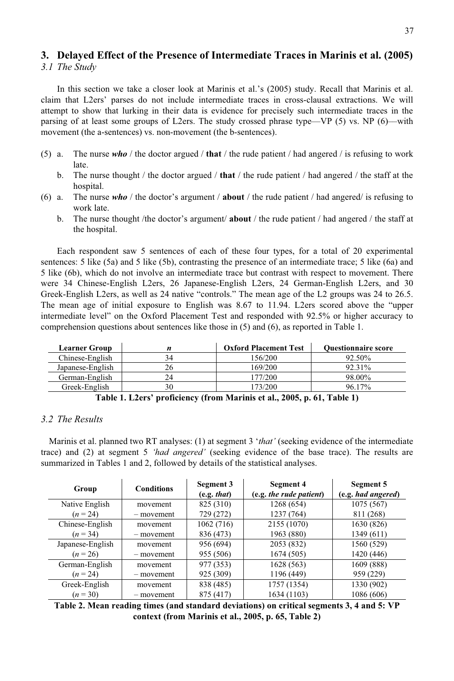#### **3. Delayed Effect of the Presence of Intermediate Traces in Marinis et al. (2005)** *3.1 The Study*

In this section we take a closer look at Marinis et al.'s (2005) study. Recall that Marinis et al. claim that L2ers' parses do not include intermediate traces in cross-clausal extractions. We will attempt to show that lurking in their data is evidence for precisely such intermediate traces in the parsing of at least some groups of L2ers. The study crossed phrase type—VP (5) vs. NP (6)—with movement (the a-sentences) vs. non-movement (the b-sentences).

- (5) a. The nurse *who* / the doctor argued / **that** / the rude patient / had angered / is refusing to work late.
	- b. The nurse thought / the doctor argued / **that** / the rude patient / had angered / the staff at the hospital.
- (6) a. The nurse *who* / the doctor's argument / **about** / the rude patient / had angered/ is refusing to work late.
	- b. The nurse thought /the doctor's argument/ **about** / the rude patient / had angered / the staff at the hospital.

Each respondent saw 5 sentences of each of these four types, for a total of 20 experimental sentences: 5 like (5a) and 5 like (5b), contrasting the presence of an intermediate trace; 5 like (6a) and 5 like (6b), which do not involve an intermediate trace but contrast with respect to movement. There were 34 Chinese-English L2ers, 26 Japanese-English L2ers, 24 German-English L2ers, and 30 Greek-English L2ers, as well as 24 native "controls." The mean age of the L2 groups was 24 to 26.5. The mean age of initial exposure to English was 8.67 to 11.94. L2ers scored above the "upper intermediate level" on the Oxford Placement Test and responded with 92.5% or higher accuracy to comprehension questions about sentences like those in (5) and (6), as reported in Table 1.

| <b>Learner Group</b> |    | <b>Oxford Placement Test</b> | <b>Ouestionnaire score</b> |
|----------------------|----|------------------------------|----------------------------|
| Chinese-English      | 34 | 156/200                      | 92.50%                     |
| Japanese-English     |    | 169/200                      | 92.31%                     |
| German-English       |    | 177/200                      | 98.00%                     |
| Greek-English        | 30 | 173/200                      | 96.17%                     |

| Table 1. L2ers' proficiency (from Marinis et al., 2005, p. 61, Table 1) |  |  |  |  |  |  |  |
|-------------------------------------------------------------------------|--|--|--|--|--|--|--|
|-------------------------------------------------------------------------|--|--|--|--|--|--|--|

#### *3.2 The Results*

Marinis et al. planned two RT analyses: (1) at segment 3 '*that'* (seeking evidence of the intermediate trace) and (2) at segment 5 *'had angered'* (seeking evidence of the base trace). The results are summarized in Tables 1 and 2, followed by details of the statistical analyses.

| Group            | <b>Conditions</b> | Segment 3<br>(e.g. that) | Segment 4<br>(e.g. the rude patient) | Segment 5<br>(e.g. had angered) |
|------------------|-------------------|--------------------------|--------------------------------------|---------------------------------|
|                  |                   |                          |                                      |                                 |
| Native English   | movement          | 825 (310)                | 1268 (654)                           | 1075(567)                       |
| $(n = 24)$       | - movement        | 729 (272)                | 1237 (764)                           | 811 (268)                       |
| Chinese-English  | movement          | 1062 (716)               | 2155 (1070)                          | 1630 (826)                      |
| $(n=34)$         | - movement        | 836 (473)                | 1963 (880)                           | 1349 (611)                      |
| Japanese-English | movement          | 956 (694)                | 2053 (832)                           | 1560 (529)                      |
| $(n=26)$         | - movement        | 955 (506)                | 1674 (505)                           | 1420 (446)                      |
| German-English   | movement          | 977 (353)                | 1628 (563)                           | 1609 (888)                      |
| $(n=24)$         | - movement        | 925 (309)                | 1196 (449)                           | 959 (229)                       |
| Greek-English    | movement          | 838 (485)                | 1757 (1354)                          | 1330 (902)                      |
| $(n=30)$         | - movement        | 875 (417)                | 1634 (1103)                          | 1086 (606)                      |

**Table 2. Mean reading times (and standard deviations) on critical segments 3, 4 and 5: VP context (from Marinis et al., 2005, p. 65, Table 2)**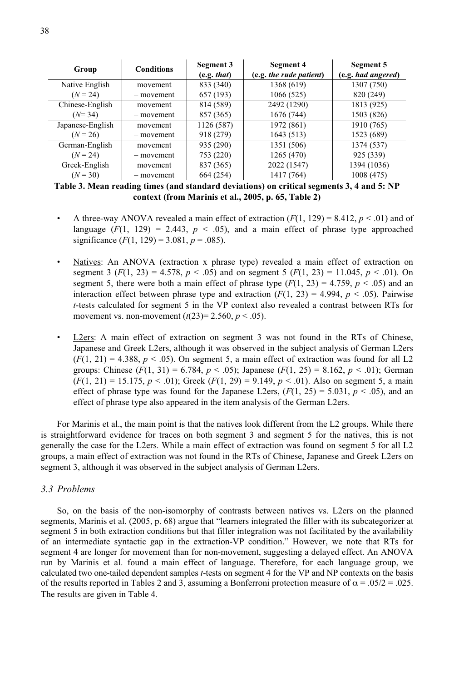| Group            | <b>Conditions</b> | Segment 3   | Segment 4               | Segment 5          |
|------------------|-------------------|-------------|-------------------------|--------------------|
|                  |                   | (e.g. that) | (e.g. the rude patient) | (e.g. had angered) |
| Native English   | movement          | 833 (340)   | 1368 (619)              | 1307 (750)         |
| $(N = 24)$       | - movement        | 657 (193)   | 1066 (525)              | 820 (249)          |
| Chinese-English  | movement          | 814 (589)   | 2492 (1290)             | 1813 (925)         |
| $(N=34)$         | - movement        | 857 (365)   | 1676 (744)              | 1503 (826)         |
| Japanese-English | movement          | 1126 (587)  | 1972 (861)              | 1910 (765)         |
| $(N = 26)$       | - movement        | 918 (279)   | 1643 (513)              | 1523 (689)         |
| German-English   | movement          | 935 (290)   | 1351 (506)              | 1374 (537)         |
| $(N = 24)$       | - movement        | 753 (220)   | 1265 (470)              | 925 (339)          |
| Greek-English    | movement          | 837 (365)   | 2022 (1547)             | 1394 (1036)        |
| $(N = 30)$       | - movement        | 664 (254)   | 1417 (764)              | 1008 (475)         |

**Table 3. Mean reading times (and standard deviations) on critical segments 3, 4 and 5: NP context (from Marinis et al., 2005, p. 65, Table 2)**

- A three-way ANOVA revealed a main effect of extraction  $(F(1, 129) = 8.412, p < .01)$  and of language  $(F(1, 129) = 2.443, p < .05)$ , and a main effect of phrase type approached significance  $(F(1, 129) = 3.081, p = .085)$ .
- Natives: An ANOVA (extraction x phrase type) revealed a main effect of extraction on segment 3  $(F(1, 23) = 4.578, p < .05)$  and on segment 5  $(F(1, 23) = 11.045, p < .01)$ . On segment 5, there were both a main effect of phrase type  $(F(1, 23) = 4.759, p < .05)$  and an interaction effect between phrase type and extraction  $(F(1, 23) = 4.994, p < .05)$ . Pairwise *t*-tests calculated for segment 5 in the VP context also revealed a contrast between RTs for movement vs. non-movement  $(t(23)=2.560, p < .05)$ .
- L2ers: A main effect of extraction on segment 3 was not found in the RTs of Chinese, Japanese and Greek L2ers, although it was observed in the subject analysis of German L2ers  $(F(1, 21) = 4.388, p < .05)$ . On segment 5, a main effect of extraction was found for all L2 groups: Chinese (*F*(1, 31) = 6.784, *p* < .05); Japanese (*F*(1, 25) = 8.162, *p* < .01); German  $(F(1, 21) = 15.175, p < .01)$ ; Greek  $(F(1, 29) = 9.149, p < .01)$ . Also on segment 5, a main effect of phrase type was found for the Japanese L2ers,  $(F(1, 25) = 5.031, p < .05)$ , and an effect of phrase type also appeared in the item analysis of the German L2ers.

For Marinis et al., the main point is that the natives look different from the L2 groups. While there is straightforward evidence for traces on both segment 3 and segment 5 for the natives, this is not generally the case for the L2ers. While a main effect of extraction was found on segment 5 for all L2 groups, a main effect of extraction was not found in the RTs of Chinese, Japanese and Greek L2ers on segment 3, although it was observed in the subject analysis of German L2ers.

#### *3.3 Problems*

So, on the basis of the non-isomorphy of contrasts between natives vs. L2ers on the planned segments, Marinis et al. (2005, p. 68) argue that "learners integrated the filler with its subcategorizer at segment 5 in both extraction conditions but that filler integration was not facilitated by the availability of an intermediate syntactic gap in the extraction-VP condition." However, we note that RTs for segment 4 are longer for movement than for non-movement, suggesting a delayed effect. An ANOVA run by Marinis et al. found a main effect of language. Therefore, for each language group, we calculated two one-tailed dependent samples *t*-tests on segment 4 for the VP and NP contexts on the basis of the results reported in Tables 2 and 3, assuming a Bonferroni protection measure of  $\alpha = .05/2 = .025$ . The results are given in Table 4.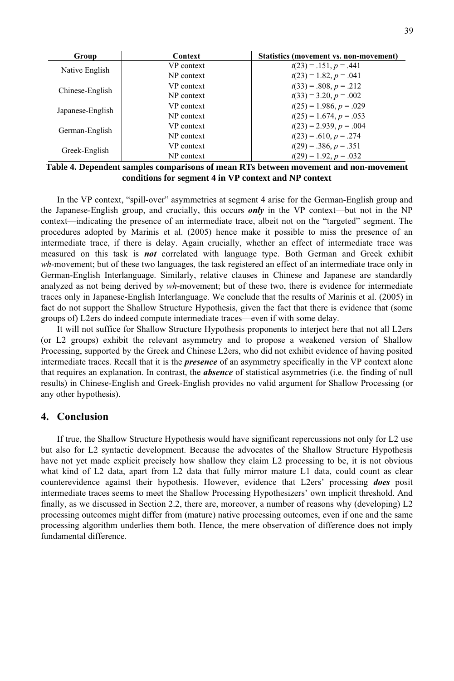| Group            | Context    | Statistics (movement vs. non-movement) |  |  |
|------------------|------------|----------------------------------------|--|--|
| Native English   | VP context | $t(23) = .151, p = .441$               |  |  |
|                  | NP context | $t(23) = 1.82, p = .041$               |  |  |
| Chinese-English  | VP context | $t(33) = .808, p = .212$               |  |  |
|                  | NP context | $t(33) = 3.20, p = .002$               |  |  |
| Japanese-English | VP context | $t(25) = 1.986, p = .029$              |  |  |
|                  | NP context | $t(25) = 1.674, p = .053$              |  |  |
| German-English   | VP context | $t(23) = 2.939, p = .004$              |  |  |
|                  | NP context | $t(23) = .610, p = .274$               |  |  |
| Greek-English    | VP context | $t(29) = .386, p = .351$               |  |  |
|                  | NP context | $t(29) = 1.92, p = .032$               |  |  |

**Table 4. Dependent samples comparisons of mean RTs between movement and non-movement conditions for segment 4 in VP context and NP context**

In the VP context, "spill-over" asymmetries at segment 4 arise for the German-English group and the Japanese-English group, and crucially, this occurs *only* in the VP context––but not in the NP context––indicating the presence of an intermediate trace, albeit not on the "targeted" segment. The procedures adopted by Marinis et al. (2005) hence make it possible to miss the presence of an intermediate trace, if there is delay. Again crucially, whether an effect of intermediate trace was measured on this task is *not* correlated with language type. Both German and Greek exhibit *wh*-movement; but of these two languages, the task registered an effect of an intermediate trace only in German-English Interlanguage. Similarly, relative clauses in Chinese and Japanese are standardly analyzed as not being derived by *wh*-movement; but of these two, there is evidence for intermediate traces only in Japanese-English Interlanguage. We conclude that the results of Marinis et al. (2005) in fact do not support the Shallow Structure Hypothesis, given the fact that there is evidence that (some groups of) L2ers do indeed compute intermediate traces––even if with some delay.

It will not suffice for Shallow Structure Hypothesis proponents to interject here that not all L2ers (or L2 groups) exhibit the relevant asymmetry and to propose a weakened version of Shallow Processing, supported by the Greek and Chinese L2ers, who did not exhibit evidence of having posited intermediate traces. Recall that it is the *presence* of an asymmetry specifically in the VP context alone that requires an explanation. In contrast, the *absence* of statistical asymmetries (i.e. the finding of null results) in Chinese-English and Greek-English provides no valid argument for Shallow Processing (or any other hypothesis).

### **4. Conclusion**

If true, the Shallow Structure Hypothesis would have significant repercussions not only for L2 use but also for L2 syntactic development. Because the advocates of the Shallow Structure Hypothesis have not yet made explicit precisely how shallow they claim L2 processing to be, it is not obvious what kind of L2 data, apart from L2 data that fully mirror mature L1 data, could count as clear counterevidence against their hypothesis. However, evidence that L2ers' processing *does* posit intermediate traces seems to meet the Shallow Processing Hypothesizers' own implicit threshold. And finally, as we discussed in Section 2.2, there are, moreover, a number of reasons why (developing) L2 processing outcomes might differ from (mature) native processing outcomes, even if one and the same processing algorithm underlies them both. Hence, the mere observation of difference does not imply fundamental difference.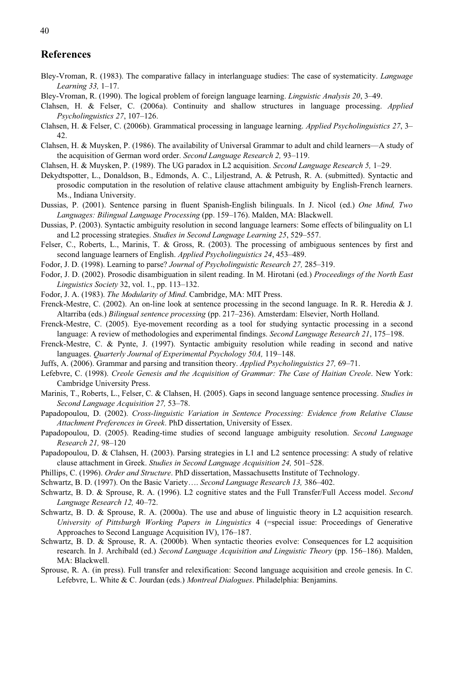### **References**

- Bley-Vroman, R. (1983). The comparative fallacy in interlanguage studies: The case of systematicity. *Language Learning 33,* 1–17.
- Bley-Vroman, R. (1990). The logical problem of foreign language learning. *Linguistic Analysis 20*, 3–49.
- Clahsen, H. & Felser, C. (2006a). Continuity and shallow structures in language processing. *Applied Psycholinguistics 27*, 107–126.
- Clahsen, H. & Felser, C. (2006b). Grammatical processing in language learning. *Applied Psycholinguistics 27*, 3– 42.
- Clahsen, H. & Muysken, P. (1986). The availability of Universal Grammar to adult and child learners––A study of the acquisition of German word order. *Second Language Research 2,* 93–119.
- Clahsen, H. & Muysken, P. (1989). The UG paradox in L2 acquisition. *Second Language Research 5,* 1–29.
- Dekydtspotter, L., Donaldson, B., Edmonds, A. C., Liljestrand, A. & Petrush, R. A. (submitted). Syntactic and prosodic computation in the resolution of relative clause attachment ambiguity by English-French learners. Ms., Indiana University.
- Dussias, P. (2001). Sentence parsing in fluent Spanish-English bilinguals. In J. Nicol (ed.) *One Mind, Two Languages: Bilingual Language Processing* (pp. 159–176). Malden, MA: Blackwell.
- Dussias, P. (2003). Syntactic ambiguity resolution in second language learners: Some effects of bilinguality on L1 and L2 processing strategies. *Studies in Second Language Learning 25*, 529–557.
- Felser, C., Roberts, L., Marinis, T. & Gross, R. (2003). The processing of ambiguous sentences by first and second language learners of English. *Applied Psycholinguistics 24*, 453–489.
- Fodor, J. D. (1998). Learning to parse? *Journal of Psycholinguistic Research 27,* 285–319.
- Fodor, J. D. (2002). Prosodic disambiguation in silent reading. In M. Hirotani (ed.) *Proceedings of the North East Linguistics Society* 32, vol. 1., pp. 113–132.
- Fodor, J. A. (1983). *The Modularity of Mind*. Cambridge, MA: MIT Press.
- Frenck-Mestre, C. (2002). An on-line look at sentence processing in the second language. In R. R. Heredia & J. Altarriba (eds.) *Bilingual sentence processing* (pp. 217–236). Amsterdam: Elsevier, North Holland.
- Frenck-Mestre, C. (2005). Eye-movement recording as a tool for studying syntactic processing in a second language: A review of methodologies and experimental findings. *Second Language Research 21*, 175–198.
- Frenck-Mestre, C. & Pynte, J. (1997). Syntactic ambiguity resolution while reading in second and native languages. *Quarterly Journal of Experimental Psychology 50A,* 119–148.
- Juffs, A. (2006). Grammar and parsing and transition theory. *Applied Psycholinguistics 27,* 69–71.
- Lefebvre, C. (1998). *Creole Genesis and the Acquisition of Grammar: The Case of Haitian Creole*. New York: Cambridge University Press.
- Marinis, T., Roberts, L., Felser, C. & Clahsen, H. (2005). Gaps in second language sentence processing. *Studies in Second Language Acquisition 27,* 53–78.
- Papadopoulou, D. (2002). *Cross-linguistic Variation in Sentence Processing: Evidence from Relative Clause Attachment Preferences in Greek*. PhD dissertation, University of Essex.
- Papadopoulou, D. (2005). Reading-time studies of second language ambiguity resolution. *Second Language Research 21,* 98–120
- Papadopoulou, D. & Clahsen, H. (2003). Parsing strategies in L1 and L2 sentence processing: A study of relative clause attachment in Greek. *Studies in Second Language Acquisition 24,* 501–528.
- Phillips, C. (1996). *Order and Structure*. PhD dissertation, Massachusetts Institute of Technology.
- Schwartz, B. D. (1997). On the Basic Variety…. *Second Language Research 13,* 386–402.
- Schwartz, B. D. & Sprouse, R. A. (1996). L2 cognitive states and the Full Transfer/Full Access model. *Second Language Research 12,* 40–72.
- Schwartz, B. D. & Sprouse, R. A. (2000a). The use and abuse of linguistic theory in L2 acquisition research. *University of Pittsburgh Working Papers in Linguistics* 4 (=special issue: Proceedings of Generative Approaches to Second Language Acquisition IV), 176–187.
- Schwartz, B. D. & Sprouse, R. A. (2000b). When syntactic theories evolve: Consequences for L2 acquisition research. In J. Archibald (ed.) *Second Language Acquisition and Linguistic Theory* (pp. 156–186). Malden, MA: Blackwell.
- Sprouse, R. A. (in press). Full transfer and relexification: Second language acquisition and creole genesis. In C. Lefebvre, L. White & C. Jourdan (eds.) *Montreal Dialogues*. Philadelphia: Benjamins.